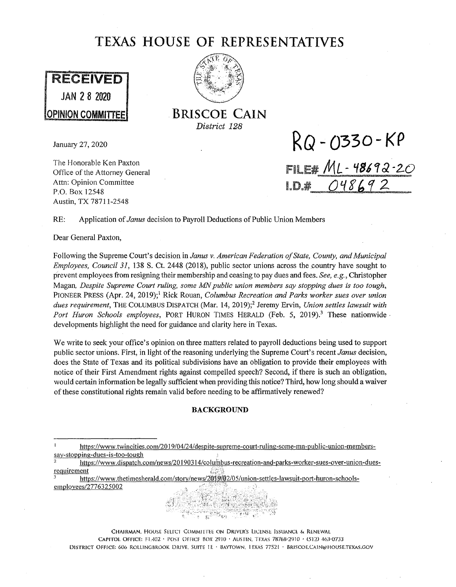



**BRISCOE CAIN**  *District 128* 

January 27, 2020

The Honorable Ken Paxton Office of the Attorney General Attn: Opinion Committee P.O. Box 12548 Austin, TX 78711-2548

**RQ-0330-KP**  FILE# ML - 48692-20<br>I.D.# 048692

RE: Application of *Janus* decision to Payroll Deductions of Public Union Members

Dear General Paxton,

Following the Supreme Court's decision in *Janus v. American Federation of State, County, and Municipal Employees, Council 31,* 138 S. Ct. 2448 (2018), public sector unions across the country have sought to prevent employees from resigning their membership and ceasing to pay dues and fees. *See, e.g.,* Christopher Magan, *Despite Supreme Court ruling, some MN public union members say stopping dues is too tough*, PIONEER PRESS (Apr. 24, 2019);<sup>1</sup> Rick Rouan, *Columbus Recreation and Parks worker sues over union dues requirement,* THE COLUMBUS DISPATCH (Mar. 14, 2019);2 Jeremy Ervin, *Union settles lawsuit with*  Port Huron Schools employees, PORT HURON TIMES HERALD (Feb. 5, 2019).<sup>3</sup> These nationwide developments highlight the need for guidance and clarity here in Texas.

We write to seek your office's opinion on three matters related to payroll deductions being used to support public sector unions. First, in light of the reasoning underlying the Supreme Court's recent *Janus* decision, does the State of Texas and its political subdivisions have an obligation to provide their employees with notice of their First Amendment rights against compelled speech? Second, if there is such an obligation, would certain information be legally sufficient when providing this notice? Third, how long should a waiver of these constitutional rights remain valid before needing to be affirmatively renewed?

### **BACKGROUND**

2 https://www.dispatch.com/news/20190314/colmnbus-recreation-and-parks-worker-sues-over-union-duesreguirement *(,;'.,)* .

https://www.thetimesherald.com/story/news/2019/02/05/union-settles-lawsuit-port-huron-schoolsemployees/2776325002

WM S

CHAIRMAN. HOUSE SELECT COMMITTEE ON DRIVER'S LICENSE ISSUANCL & RENEWAL CAPITOL OFFICE: FL402 • POST OFFICE BOX 2910 • AUSTIN, TEXAS 78768-2910 • (512) 463-0733 DISTRICT OFFICE: 606 ROLLINGBROOK DRIVE, SUITE 1E · BAYTOWN, 1EXAS 77521 · BRISCOE.CAIN@HOUSE.TEXAS.GOV

hitps://www.twincities.com/2019/04/24/despite-supreme-court-ruling-some-mn-public-union-memberssay-stopping-dues-is-too-tough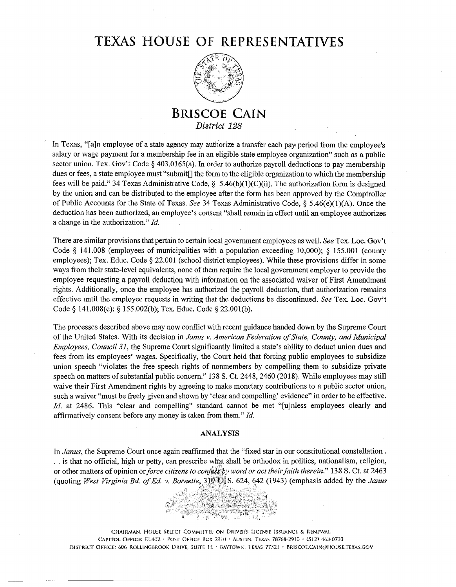

**BRISCOE CAIN**  *District 128* 

In Texas, "[a]n employee of a state agency may authorize a transfer each pay period from the employee's salary or wage payment for a membership fee in an eligible state employee organization" such as a public sector union. Tex. Gov't Code  $\S$  403.0165(a). In order to authorize payroll deductions to pay membership dues or fees, a state employee must "submit[] the form to the eligible organization to which the membership fees will be paid." 34 Texas Administrative Code,  $\S$  5.46(b)(1)(C)(ii). The authorization form is designed by the union and can be distributed to the employee after the form has been approved by the Comptroller of Public Accounts for the State of Texas. *See* 34 Texas Administrative Code, § 5.46(e)(1)(A). Once the deduction has been authorized, an employee's consent "shall remain in effect until an employee authorizes a change in the authorization." *Id.* 

There are similar provisions that pertain to certain local government employees as well. *See* Tex. Loe. Gov't Code § 141.008 (employees of municipalities with a population exceeding 10,000); § 155.001 (county employees); Tex. Educ. Code§ 22.001 (school district employees). While these provisions differ in some ways from their state-level equivalents, none of them require the local government employer to provide the employee requesting a payroll deduction with information on the associated waiver of First Amendment rights. Additionally, once the employee has authorized the payroll deduction, that authorization remains effective until the employee requests in writing that the deductions be discontinued. *See* Tex. Loe. Gov't Code§ 141.008(e); § 155.002(b); Tex. Educ. Code§ 22.00l(b).

The processes described above may now conflict with recent guidance handed down by the Supreme Court of the United States. With its decision in *Janus v. American Federation of State, County, and Municipal Employees, Council 31,* the Supreme Court significantly limited a state's ability to deduct union dues and fees from its employees' wages. Specifically, the Court held that forcing public employees to subsidize union speech "violates the free speech rights of nonmembers by compelling them to subsidize private speech on matters of substantial public concern." 138 S. Ct. 2448, 2460 (2018). While employees may still waive their First Amendment rights by agreeing to make monetary contributions to a public sector union, such a waiver "must be freely given and shown by 'clear and compelling' evidence" in order to be effective. *Id.* at 2486. This "clear and compelling" standard cannot be met "[u]nless employees clearly and affirmatively consent before any money is taken from them." *Id.* 

#### **ANALYSIS**

In *Janus,* the Supreme Court once again reaffirmed that the "fixed star in our constitutional constellation . . . is that no official, high or petty, can prescribe what shall be orthodox in politics, nationalism, religion, or other matters of opinion or *force citizens to confess by word or act their faith therein*." 138 S. Ct. at 2463 (quoting *West Virginia Bd. of Ed. v. Barnette, 31948* S. 624, 642 (1943) (emphasis added by the *Janus* 



CHAIRMAN, HOUSE SELECT COMMITTEE ON DRIVER'S LICENSE ISSUANCE & RENEWAL CAPITOL OFFICE: E1.402 • POST OFFICE BOX 2910 • AUSTIN, TEXAS 78768-2910 • (512) 463-0733 DISTRICT OFFICE: 606 ROLLINGBROOK DRIVE, SUITE 1E · BAYTOWN, 1 EXAS 77521 · BRISCOE.CAIN@HOUSE.TEXAS.GOV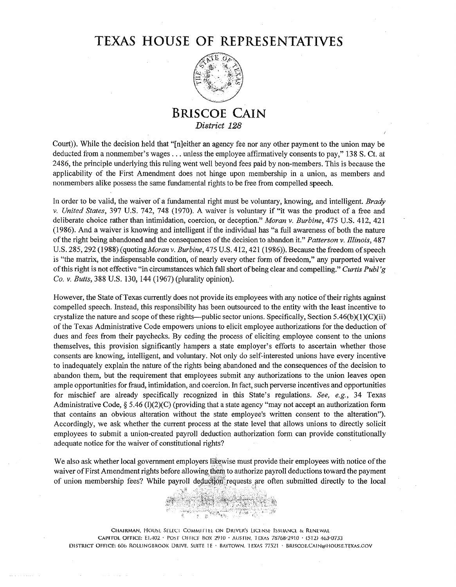

### **BRISCOE CAIN**  *District 128*

Court)). While the decision held that "[n]either an agency fee nor any other payment to the union may be deducted from a nonmember's wages ... unless the employee affirmatively consents to pay," 138 S. Ct. at 2486, the principle underlying this ruling went well beyond fees paid by non-members. This is because the applicability of the First Amendment does not hinge upon membership in a union, as members and nonmembers alike possess the same fundamental rights to be free from compelled speech.

In order to be valid, the waiver of a fundamental right must be voluntary, knowing, and intelligent. *Brady v. United States,* 397 U.S. 742, 748 (1970). A waiver is voluntary if "it was the product of a free and deliberate choice rather than intimidation, coercion, or deception." *Moran* v. *Burbine,* 475 U.S. 412, 421 (1986). And a waiver is knowing and intelligent if the individual has "a full awareness of both the nature of the right being abandoned and the consequences of the decision to abandon it." *Patterson v. Illinois,* 487 U.S. 285,292 (1988) (quoting *Moran v. Burbine,* 475 U.S. 412,421 (1986)). Because the freedom of speech is "the matrix, the indispensable condition, of nearly every other form of freedom," any purported waiver of this right is not effective "in circumstances which fall short of being clear and compelling." *Curtis Pub!* 'g *Co. v. Butts,* 388 U.S. 130, 144 (1967) (plurality opinion).

However, the State of Texas currently does not provide its employees with any notice of their rights against compelled speech. Instead, this responsibility has been outsourced to the entity with the least incentive to crystalize the nature and scope of these rights---public sector unions. Specifically, Section 5.46(b)(1)(C)(ii) of the Texas Administrative Code empowers unions to elicit employee authorizations for the deduction of dues and fees from their paychecks. By ceding the process of eliciting employee consent to the unions themselves, this provision significantly hampers a state employer's efforts to ascertain whether those consents are knowing, intelligent, and voluntary. Not only do self-interested unions have every incentive to inadequately explain the nature of the rights being abandoned and the consequences of the decision to abandon them, but the requirement that employees submit any authorizations to the union leaves open ample opportunities for fraud, intimidation, and coercion. In fact, such perverse incentives and opportunities for mischief are already specifically recognized in this State's regulations. *See, e.g.,* 34 Texas Administrative Code,  $\S 5.46$  (1)(2)(C) (providing that a state agency "may not accept an authorization form that contains an obvious alteration without the state employee's written consent to the alteration"). Accordingly, we ask whether the current process at the state level that allows unions to directly solicit employees to submit a union-created payroll deduction authorization fonn can provide constitutionally adequate notice for the waiver of constitutional rights?

We also ask whether local government employers likewise must provide their employees with notice of the waiver of First Amendment rights before allowing them to authorize payroll deductions toward the payment of union membership fees? While payroll deduction requests are often submitted directly to the local



CHAIRMAN, HOUSE SELECT COMMITTEE ON DRIVER'S LICENSE ISSUANCE & RENEWAL CAPITOL OFFICE: EL.402 · POST OFFICE BOX 2910 · AUSTIN, TEXAS 78768-2910 · {512) 463-0733 DISTRICT OFFICE: 606 ROLLING BROOK DRIVE, SUITE I E: • BAYTOWN, TEXAS 77521 • BRISCOE.CAIN@HOUSE.TEXAS.GOV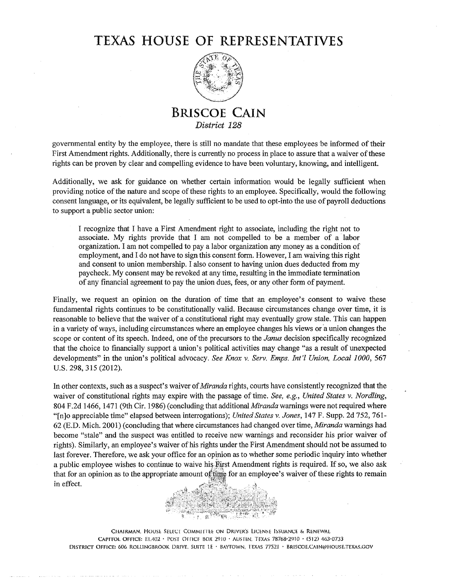

### **BRISCOE CAIN**  *District 128*

governmental entity by the employee, there is still no mandate that these employees be informed of their First Amendment rights. Additionally, there is currently no process in place to assure that a waiver of these rights can be proven by clear and compelling evidence to have been voluntary, knowing, and intelligent.

Additionally, we ask for guidance on whether certain information would be legally sufficient when providing notice of the nature and scope of these rights to an employee. Specifically, would the following consent language, or its equivalent, be legally sufficient to be used to opt-into the use of payroll deductions to support a public sector union:

I recognize that I have a First Amendment right to associate, including the right not to associate. My rights provide that I am not compelled to be a member of a labor organization. I am not compelled to pay a labor organization any money as a condition of employment, and I do not have to sign this consent form. However, I am waiving this right and consent to union membership. I also consent to having union dues deducted from my paycheck. My consent may be revoked at any time, resulting in the immediate termination of any financial agreement to pay the union dues, fees, or any other form of payment.

Finally, we request an opinion on the duration of time that an employee's consent to waive these fundamental rights continues to be constitutionally valid. Because circumstances change over time, it is reasonable to believe that the waiver of a constitutional right may eventually grow stale. This can happen in a variety of ways, including circumstances where an employee changes his views or a union changes the scope or content of its speech. Indeed, one of the precursors to the *Janus* decision specifically recognized that the choice to financially support a union's political activities may change "as a result of unexpected developments" in the union's political advocacy. *See Knox v. Serv. Emps. Int'! Union, Local 1000,* 567 U.S. 298,315 (2012).

In other contexts, such as a suspect's waiver of *Miranda* rights, courts have consistently recognized that the waiver of constitutional rights may expire with the passage of time. *See, e.g., United States v. Nordling,*  804 F .2d 1466, 1471 (9th Cir. 1986) ( concluding that additional *Miranda* warnings were not required where "[n]o appreciable time" elapsed between interrogations); *United States v. Jones,* 147 F. Supp. 2d 752, 761- 62 (E.D. Mich. 2001) ( concluding that where circumstances had changed over time, *Miranda* warnings had become "stale" and the suspect was entitled to receive new warnings and reconsider his prior waiver of rights). Similarly, an employee's waiver of his rights under the First Amendment should not be assumed to last forever. Therefore, we ask your office for an opinion as to whether some periodic inquiry into whether a public employee wishes to continue to waive his First Amendment rights is required. If so, we also ask that for an opinion as to the appropriate amount of time for an employee's waiver of these rights to remain in effect.



CHAIRMAN, HOUSE SELECT COMMITTEE ON DRIVER'S LICENSE ISSUANCE & RENEWAL CAPITOL. OFFICE: EL.402 · POST OFFICE BOX 2910 · AUSTIN. TEXAS 78768-2910 · (512) 463-0733 DISTRICT OFFICE: 606 ROLLINGBROOK DRIVE, SUITE 1E · BAYTOWN, l'EXAS 77521 · BRISCOE.CAIN@HOUSE.TEXAS,GOV